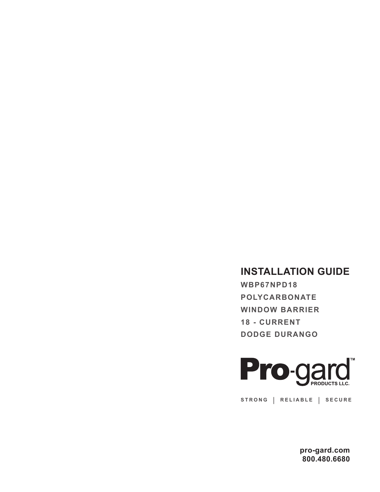## **INSTALLATION GUIDE**

**WBP67NPD18 POLYCARBONATE WINDOW BARRIER 18 - CURRENT DODGE DURANGO**



**STRONG | RELIABLE | SECURE**

**pro-gard.com 800.480.6680**